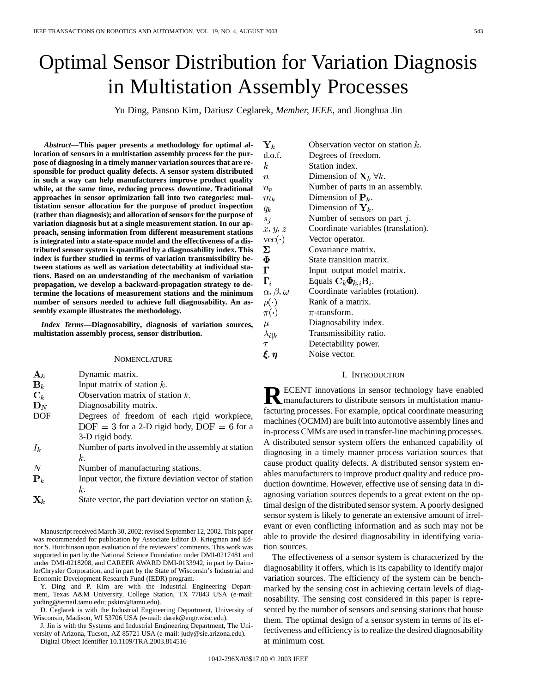# Optimal Sensor Distribution for Variation Diagnosis in Multistation Assembly Processes

Yu Ding, Pansoo Kim, Dariusz Ceglarek*, Member, IEEE*, and Jionghua Jin

*Abstract—***This paper presents a methodology for optimal allocation of sensors in a multistation assembly process for the purpose of diagnosing in a timely manner variation sources that are responsible for product quality defects. A sensor system distributed in such a way can help manufacturers improve product quality while, at the same time, reducing process downtime. Traditional approaches in sensor optimization fall into two categories: multistation sensor allocation for the purpose of product inspection (rather than diagnosis); and allocation of sensors for the purpose of variation diagnosis but at a single measurement station. In our approach, sensing information from different measurement stations is integrated into a state-space model and the effectiveness of a distributed sensor system is quantified by a diagnosability index. This index is further studied in terms of variation transmissibility between stations as well as variation detectability at individual stations. Based on an understanding of the mechanism of variation propagation, we develop a backward-propagation strategy to determine the locations of measurement stations and the minimum number of sensors needed to achieve full diagnosability. An assembly example illustrates the methodology.**

*Index Terms—***Diagnosability, diagnosis of variation sources, multistation assembly process, sensor distribution.**

#### **NOMENCLATURE**

| $\mathbf{A}_k$ | Dynamic matrix.                                       |
|----------------|-------------------------------------------------------|
| $\mathbf{B}_k$ | Input matrix of station $k$ .                         |
| $\mathbf{C}_k$ | Observation matrix of station $k$ .                   |
| $\mathbf{D}_N$ | Diagnosability matrix.                                |
| <b>DOF</b>     | Degrees of freedom of each rigid workpiece,           |
|                | $DOF = 3$ for a 2-D rigid body, $DOF = 6$ for a       |
|                | 3-D rigid body.                                       |
| $I_k$          | Number of parts involved in the assembly at station   |
|                | $k_{\cdot}$                                           |
| N              | Number of manufacturing stations.                     |
| ${\bf P}_k$    | Input vector, the fixture deviation vector of station |
|                | k.                                                    |
|                |                                                       |

 $\mathbf{X}_k$ State vector, the part deviation vector on station  $k$ .

Manuscript received March 30, 2002; revised September 12, 2002. This paper was recommended for publication by Associate Editor D. Kriegman and Editor S. Hutchinson upon evaluation of the reviewers' comments. This work was supported in part by the National Science Foundation under DMI-0217481 and under DMI-0218208, and CAREER AWARD DMI-0133942, in part by DaimlerChrysler Corporation, and in part by the State of Wisconsin's Industrial and Economic Development Research Fund (IEDR) program.

Y. Ding and P. Kim are with the Industrial Engineering Department, Texas A&M University, College Station, TX 77843 USA (e-mail: yuding@iemail.tamu.edu; pskim@tamu.edu).

D. Ceglarek is with the Industrial Engineering Department, University of Wisconsin, Madison, WI 53706 USA (e-mail: darek@engr.wisc.edu).

J. Jin is with the Systems and Industrial Engineering Department, The University of Arizona, Tucson, AZ 85721 USA (e-mail: judy@sie.arizona.edu).

Digital Object Identifier 10.1109/TRA.2003.814516

| $\mathbf{Y}_k$          | Observation vector on station $k$ .                      |
|-------------------------|----------------------------------------------------------|
| d.o.f.                  | Degrees of freedom.                                      |
| k                       | Station index.                                           |
| $\boldsymbol{n}$        | Dimension of $X_k$ $\forall k$ .                         |
| $n_{p}$                 | Number of parts in an assembly.                          |
| $m_k$                   | Dimension of $P_k$ .                                     |
| $q_k$                   | Dimension of $Y_k$ .                                     |
| $s_i$                   | Number of sensors on part $j$ .                          |
| x, y, z                 | Coordinate variables (translation).                      |
| $vec(\cdot)$            | Vector operator.                                         |
| Σ                       | Covariance matrix.                                       |
| Ф                       | State transition matrix.                                 |
| г                       | Input-output model matrix.                               |
| $\Gamma_i$              | Equals $\mathbf{C}_k \mathbf{\Phi}_{k,i} \mathbf{B}_i$ . |
| $\alpha, \beta, \omega$ | Coordinate variables (rotation).                         |
| $\rho(\cdot)$           | Rank of a matrix.                                        |
| $\pi(\cdot)$            | $\pi$ -transform.                                        |
| $\mu$                   | Diagnosability index.                                    |
| $\lambda_{i k}$         | Transmissibility ratio.                                  |
| $\tau$                  | Detectability power.                                     |
| $\xi, \eta$             | Noise vector.                                            |
|                         |                                                          |

# I. INTRODUCTION

**RECENT** innovations in sensor technology have enabled<br>manufacturers to distribute sensors in multistation manu-<br>fecturing approaches For sensors in continual conditions approximate facturing processes. For example, optical coordinate measuring machines (OCMM) are built into automotive assembly lines and in-process CMMs are used in transfer-line machining processes. A distributed sensor system offers the enhanced capability of diagnosing in a timely manner process variation sources that cause product quality defects. A distributed sensor system enables manufacturers to improve product quality and reduce production downtime. However, effective use of sensing data in diagnosing variation sources depends to a great extent on the optimal design of the distributed sensor system. A poorly designed sensor system is likely to generate an extensive amount of irrelevant or even conflicting information and as such may not be able to provide the desired diagnosability in identifying variation sources.

The effectiveness of a sensor system is characterized by the diagnosability it offers, which is its capability to identify major variation sources. The efficiency of the system can be benchmarked by the sensing cost in achieving certain levels of diagnosability. The sensing cost considered in this paper is represented by the number of sensors and sensing stations that house them. The optimal design of a sensor system in terms of its effectiveness and efficiency is to realize the desired diagnosability at minimum cost.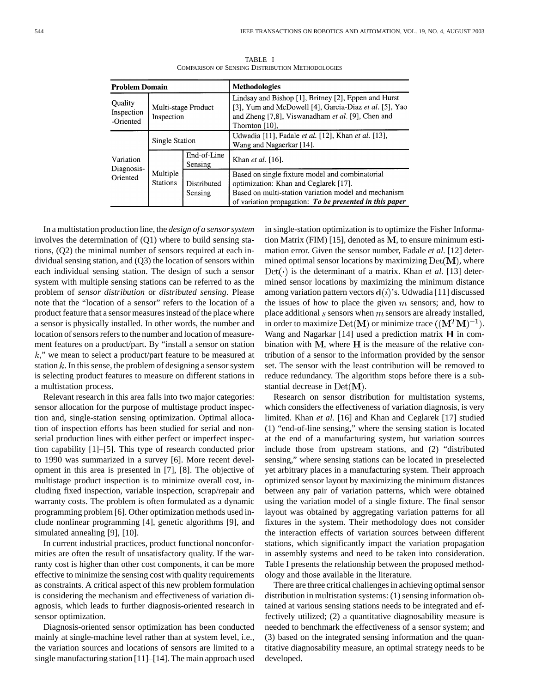| <b>Problem Domain</b>               |                                   |                        | <b>Methodologies</b>                                                                                                                                                                                        |  |  |
|-------------------------------------|-----------------------------------|------------------------|-------------------------------------------------------------------------------------------------------------------------------------------------------------------------------------------------------------|--|--|
| Quality<br>Inspection<br>-Oriented  | Multi-stage Product<br>Inspection |                        | Lindsay and Bishop [1], Britney [2], Eppen and Hurst<br>[3], Yum and McDowell [4], Garcia-Diaz et al. [5], Yao<br>and Zheng [7,8], Viswanadham et al. [9], Chen and<br>Thornton [10],                       |  |  |
| Variation<br>Diagnosis-<br>Oriented | Single Station                    |                        | Udwadia [11], Fadale <i>et al.</i> [12], Khan <i>et al.</i> [13],<br>Wang and Nagaerkar [14].                                                                                                               |  |  |
|                                     | Multiple<br><b>Stations</b>       | End-of-Line<br>Sensing | Khan et al. [16].                                                                                                                                                                                           |  |  |
|                                     |                                   | Distributed<br>Sensing | Based on single fixture model and combinatorial<br>optimization: Khan and Ceglarek [17].<br>Based on multi-station variation model and mechanism<br>of variation propagation: To be presented in this paper |  |  |

TABLE I COMPARISON OF SENSING DISTRIBUTION METHODOLOGIES

In a multistation production line, the *design of a sensor system* involves the determination of (Q1) where to build sensing stations, (Q2) the minimal number of sensors required at each individual sensing station, and (Q3) the location of sensors within each individual sensing station. The design of such a sensor system with multiple sensing stations can be referred to as the problem of *sensor distribution* or *distributed sensing*. Please note that the "location of a sensor" refers to the location of a product feature that a sensor measures instead of the place where a sensor is physically installed. In other words, the number and location of sensors refers to the number and location of measurement features on a product/part. By "install a sensor on station  $k$ ," we mean to select a product/part feature to be measured at station  $k$ . In this sense, the problem of designing a sensor system is selecting product features to measure on different stations in a multistation process.

Relevant research in this area falls into two major categories: sensor allocation for the purpose of multistage product inspection and, single-station sensing optimization. Optimal allocation of inspection efforts has been studied for serial and nonserial production lines with either perfect or imperfect inspection capability [1]–[5]. This type of research conducted prior to 1990 was summarized in a survey [6]. More recent development in this area is presented in [7], [8]. The objective of multistage product inspection is to minimize overall cost, including fixed inspection, variable inspection, scrap/repair and warranty costs. The problem is often formulated as a dynamic programming problem [6]. Other optimization methods used include nonlinear programming [4], genetic algorithms [9], and simulated annealing [9], [10].

In current industrial practices, product functional nonconformities are often the result of unsatisfactory quality. If the warranty cost is higher than other cost components, it can be more effective to minimize the sensing cost with quality requirements as constraints. A critical aspect of this new problem formulation is considering the mechanism and effectiveness of variation diagnosis, which leads to further diagnosis-oriented research in sensor optimization.

Diagnosis-oriented sensor optimization has been conducted mainly at single-machine level rather than at system level, i.e., the variation sources and locations of sensors are limited to a single manufacturing station [11]–[14]. The main approach used in single-station optimization is to optimize the Fisher Information Matrix (FIM) [15], denoted as  $M$ , to ensure minimum estimation error. Given the sensor number, Fadale *et al.* [12] determined optimal sensor locations by maximizing  $Det(M)$ , where  $Det(\cdot)$  is the determinant of a matrix. Khan *et al.* [13] determined sensor locations by maximizing the minimum distance among variation pattern vectors  $\mathbf{d}(i)$ 's. Udwadia [11] discussed the issues of how to place the given  $m$  sensors; and, how to place additional  $s$  sensors when  $m$  sensors are already installed, in order to maximize  $Det(M)$  or minimize trace  $((M<sup>T</sup>M)<sup>-1</sup>).$ Wang and Nagarkar  $[14]$  used a prediction matrix **H** in combination with  $M$ , where  $H$  is the measure of the relative contribution of a sensor to the information provided by the sensor set. The sensor with the least contribution will be removed to reduce redundancy. The algorithm stops before there is a substantial decrease in  $Det(M)$ .

Research on sensor distribution for multistation systems, which considers the effectiveness of variation diagnosis, is very limited. Khan *et al.* [16] and Khan and Ceglarek [17] studied (1) "end-of-line sensing," where the sensing station is located at the end of a manufacturing system, but variation sources include those from upstream stations, and (2) "distributed sensing," where sensing stations can be located in preselected yet arbitrary places in a manufacturing system. Their approach optimized sensor layout by maximizing the minimum distances between any pair of variation patterns, which were obtained using the variation model of a single fixture. The final sensor layout was obtained by aggregating variation patterns for all fixtures in the system. Their methodology does not consider the interaction effects of variation sources between different stations, which significantly impact the variation propagation in assembly systems and need to be taken into consideration. Table I presents the relationship between the proposed methodology and those available in the literature.

There are three critical challenges in achieving optimal sensor distribution in multistation systems: (1) sensing information obtained at various sensing stations needs to be integrated and effectively utilized; (2) a quantitative diagnosability measure is needed to benchmark the effectiveness of a sensor system; and (3) based on the integrated sensing information and the quantitative diagnosability measure, an optimal strategy needs to be developed.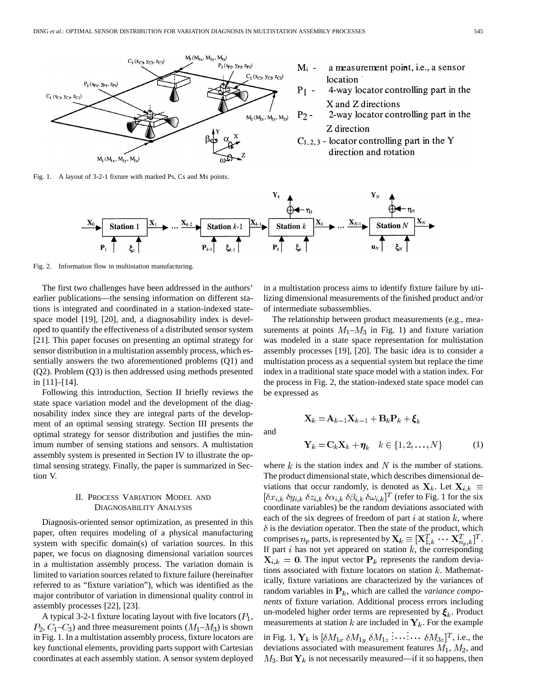

Fig. 1. A layout of 3-2-1 fixture with marked Ps, Cs and Ms points.

- 
- 
- 2-way locator controlling part in the



Fig. 2. Information flow in multistation manufacturing.

The first two challenges have been addressed in the authors' earlier publications—the sensing information on different stations is integrated and coordinated in a station-indexed statespace model [19], [20], and, a diagnosability index is developed to quantify the effectiveness of a distributed sensor system [21]. This paper focuses on presenting an optimal strategy for sensor distribution in a multistation assembly process, which essentially answers the two aforementioned problems (Q1) and (Q2). Problem (Q3) is then addressed using methods presented in [11]–[14].

Following this introduction, Section II briefly reviews the state space variation model and the development of the diagnosability index since they are integral parts of the development of an optimal sensing strategy. Section III presents the optimal strategy for sensor distribution and justifies the minimum number of sensing stations and sensors. A multistation assembly system is presented in Section IV to illustrate the optimal sensing strategy. Finally, the paper is summarized in Section V.

# II. PROCESS VARIATION MODEL AND DIAGNOSABILITY ANALYSIS

Diagnosis-oriented sensor optimization, as presented in this paper, often requires modeling of a physical manufacturing system with specific domain(s) of variation sources. In this paper, we focus on diagnosing dimensional variation sources in a multistation assembly process. The variation domain is limited to variation sources related to fixture failure (hereinafter referred to as "fixture variation"), which was identified as the major contributor of variation in dimensional quality control in assembly processes [22], [23].

A typical 3-2-1 fixture locating layout with five locators  $(P_1,$  $P_2, C_1 - C_3$  and three measurement points  $(M_1 - M_3)$  is shown in Fig. 1. In a multistation assembly process, fixture locators are key functional elements, providing parts support with Cartesian coordinates at each assembly station. A sensor system deployed in a multistation process aims to identify fixture failure by utilizing dimensional measurements of the finished product and/or of intermediate subassemblies.

The relationship between product measurements (e.g., measurements at points  $M_1$ – $M_3$  in Fig. 1) and fixture variation was modeled in a state space representation for multistation assembly processes [19], [20]. The basic idea is to consider a multistation process as a sequential system but replace the time index in a traditional state space model with a station index. For the process in Fig. 2, the station-indexed state space model can be expressed as

 $\mathbf{X}_k = \mathbf{A}_{k-1} \mathbf{X}_{k-1} + \mathbf{B}_k \mathbf{P}_k + \boldsymbol{\xi}_k$ 

and

$$
\mathbf{Y}_k = \mathbf{C}_k \mathbf{X}_k + \boldsymbol{\eta}_k \quad k \in \{1, 2, \dots, N\} \tag{1}
$$

where  $k$  is the station index and  $N$  is the number of stations. The product dimensional state, which describes dimensional deviations that occur randomly, is denoted as  $X_k$ . Let  $X_{i,k}$  $[\delta x_{i,k} \delta y_{i,k} \delta z_{i,k} \delta \alpha_{i,k} \delta \beta_{i,k} \delta \omega_{i,k}]^T$  (refer to Fig. 1 for the six coordinate variables) be the random deviations associated with each of the six degrees of freedom of part  $i$  at station  $k$ , where  $\delta$  is the deviation operator. Then the state of the product, which comprises  $n_p$  parts, is represented by  $\mathbf{X}_k \equiv [\mathbf{X}_{1,k}^T \cdots \mathbf{X}_{n_p,k}^T]^T$ . If part  $i$  has not yet appeared on station  $k$ , the corresponding  $X_{i,k} = 0$ . The input vector  $P_k$  represents the random deviations associated with fixture locators on station  $k$ . Mathematically, fixture variations are characterized by the variances of random variables in  $\mathbf{P}_k$ , which are called the *variance components* of fixture variation. Additional process errors including un-modeled higher order terms are represented by  $\xi_k$ . Product measurements at station k are included in  $Y_k$ . For the example

in Fig. 1,  $\mathbf{Y}_k$  is  $[\delta M_{1x} \ \delta M_{1y} \ \delta M_{1z} \ \cdots \ \cdots \ \delta M_{3z}]^T$ , i.e., the deviations associated with measurement features  $M_1$ ,  $M_2$ , and  $M_3$ . But  $Y_k$  is not necessarily measured—if it so happens, then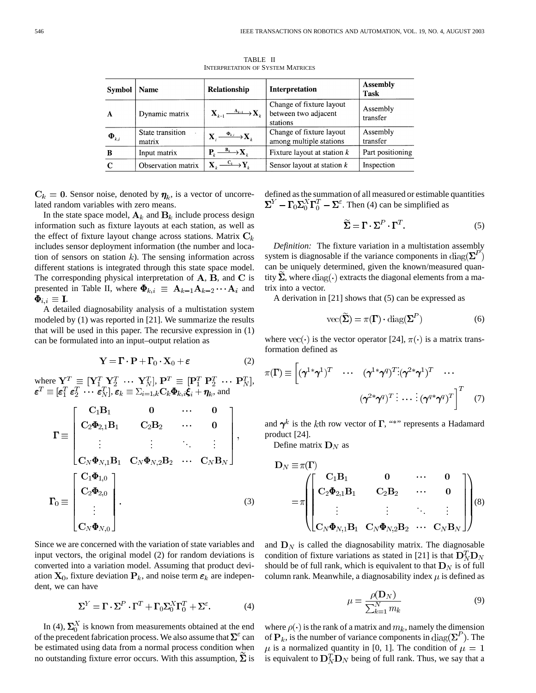**Assembly Name** Relationship Interpretation **Symbol Task** Change of fixture layout Assembly  $\mathbf{X}_{k-1} \longrightarrow \mathbf{X}_{k-1}$ Dynamic matrix between two adjacent transfer stations Change of fixture layout Assembly State transition  $\pmb{\Phi}_{k,i}$  $\xrightarrow{\Phi_{k,i}} X_k$ among multiple stations transfer matrix  $\mathbf{P}_{\iota} \longrightarrow \mathbf{X}_{\iota}$ Input matrix Fixture layout at station  $k$ Part positioning  $\mathbf{X}_{\iota} \longrightarrow_{\iota} \mathbf{Y}_{\iota}$ 

TABLE II INTERPRETATION OF SYSTEM MATRICES

 $C_k = 0$ . Sensor noise, denoted by  $\eta_k$ , is a vector of uncorrelated random variables with zero means.

Observation matrix

 $\mathbf{A}$ 

 $\bf{B}$ 

 $\mathbf C$ 

In the state space model,  $A_k$  and  $B_k$  include process design information such as fixture layouts at each station, as well as the effect of fixture layout change across stations. Matrix  $C_k$ includes sensor deployment information (the number and location of sensors on station  $k$ ). The sensing information across different stations is integrated through this state space model. The corresponding physical interpretation of  $A$ ,  $B$ , and  $C$  is presented in Table II, where  $\mathbf{\Phi}_{k,i} \equiv \mathbf{A}_{k-1} \mathbf{A}_{k-2} \cdots \mathbf{A}_i$  and  $\pmb{\Phi}_{i,i} \equiv \mathbf{I}.$ 

A detailed diagnosability analysis of a multistation system modeled by (1) was reported in [21]. We summarize the results that will be used in this paper. The recursive expression in (1) can be formulated into an input–output relation as

$$
\mathbf{Y} = \mathbf{\Gamma} \cdot \mathbf{P} + \mathbf{\Gamma}_0 \cdot \mathbf{X}_0 + \boldsymbol{\varepsilon}
$$
 (2)

where  $Y^T \equiv [Y_1^T \ Y_2^T \ \cdots \ Y_N^T]$ ,  $P^T \equiv [P_1^T \ P_2^T \ \cdots \ P_N^T]$ , ,  $\boldsymbol{\varepsilon}_k \equiv \Sigma_{i=1,k} \mathbf{C}_k \boldsymbol{\Phi}_{k,i} \boldsymbol{\xi}_i + \boldsymbol{\eta}_k$ , and

$$
\Gamma \equiv \begin{bmatrix}\nC_1B_1 & 0 & \cdots & 0 \\
C_2\Phi_{2,1}B_1 & C_2B_2 & \cdots & 0 \\
\vdots & \vdots & \ddots & \vdots \\
C_N\Phi_{N,1}B_1 & C_N\Phi_{N,2}B_2 & \cdots & C_NB_N\n\end{bmatrix},
$$
\n
$$
\Gamma_0 \equiv \begin{bmatrix}\nC_1\Phi_{1,0} \\
C_2\Phi_{2,0} \\
\vdots \\
C_N\Phi_{N,0}\n\end{bmatrix}.
$$
\n(3)

Since we are concerned with the variation of state variables and input vectors, the original model (2) for random deviations is converted into a variation model. Assuming that product deviation  $X_0$ , fixture deviation  $P_k$ , and noise term  $\varepsilon_k$  are independent, we can have

$$
\Sigma^{Y} = \Gamma \cdot \Sigma^{P} \cdot \Gamma^{T} + \Gamma_{0} \Sigma_{0}^{X} \Gamma_{0}^{T} + \Sigma^{z}.
$$
 (4)

In (4),  $\Sigma_0^X$  is known from measurements obtained at the end of the precedent fabrication process. We also assume that  $\Sigma^{\varepsilon}$  can be estimated using data from a normal process condition when no outstanding fixture error occurs. With this assumption,  $\Sigma$  is defined as the summation of all measured or estimable quantities  $\Sigma^{Y} - \Gamma_0 \Sigma_0^{X} \Gamma_0^{T} - \Sigma^{\epsilon}$ . Then (4) can be simplified as

Inspection

$$
\widetilde{\Sigma} = \Gamma \cdot \Sigma^P \cdot \Gamma^T. \tag{5}
$$

*Definition:* The fixture variation in a multistation assembly system is diagnosable if the variance components in  $diag(\Sigma^P)$ can be uniquely determined, given the known/measured quantity  $\Sigma$ , where diag( $\cdot$ ) extracts the diagonal elements from a matrix into a vector.

A derivation in [21] shows that (5) can be expressed as

$$
\text{vec}(\widetilde{\Sigma}) = \pi(\Gamma) \cdot \text{diag}(\Sigma^P) \tag{6}
$$

where  $\text{vec}(\cdot)$  is the vector operator [24],  $\pi(\cdot)$  is a matrix transformation defined as

$$
\pi(\Gamma) \equiv \begin{bmatrix} (\gamma^{1*}\gamma^{1})^{T} & \cdots & (\gamma^{1*}\gamma^{q})^{T} \vdots & (\gamma^{2*}\gamma^{1})^{T} & \cdots \\ & & (\gamma^{2*}\gamma^{q})^{T} \vdots & \cdots & (\gamma^{q*}\gamma^{q})^{T} \end{bmatrix}^{T} \tag{7}
$$

and  $\gamma^k$  is the kth row vector of  $\Gamma$ , "\*" represents a Hadamard product [24].

Define matrix  $\mathbf{D}_N$  as

Sensor layout at station  $k$ 

$$
D_N \equiv \pi(\Gamma)
$$
  
=  $\pi \begin{pmatrix} C_1B_1 & 0 & \cdots & 0 \\ C_2\Phi_{2,1}B_1 & C_2B_2 & \cdots & 0 \\ \vdots & \vdots & \ddots & \vdots \\ C_N\Phi_{N,1}B_1 & C_N\Phi_{N,2}B_2 & \cdots & C_NB_N \end{pmatrix}$  (8)

and  $\mathbf{D}_N$  is called the diagnosability matrix. The diagnosable condition of fixture variations as stated in [21] is that  $\mathbf{D}_N^T \mathbf{D}_N$ should be of full rank, which is equivalent to that  $\mathbf{D}_N$  is of full column rank. Meanwhile, a diagnosability index  $\mu$  is defined as

$$
\mu = \frac{\rho(\mathbf{D}_N)}{\sum_{k=1}^N m_k} \tag{9}
$$

where  $\rho(\cdot)$  is the rank of a matrix and  $m_k$ , namely the dimension of  $P_k$ , is the number of variance components in  $\text{diag}(\Sigma^P)$ . The  $\mu$  is a normalized quantity in [0, 1]. The condition of  $\mu = 1$ is equivalent to  $\mathbf{D}_N^T \mathbf{D}_N$  being of full rank. Thus, we say that a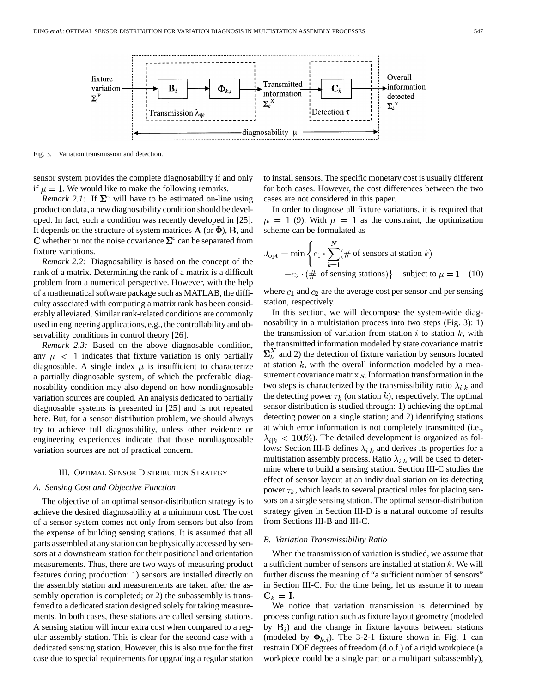

Fig. 3. Variation transmission and detection.

sensor system provides the complete diagnosability if and only if  $\mu = 1$ . We would like to make the following remarks.

*Remark 2.1:* If  $\Sigma^{\epsilon}$  will have to be estimated on-line using production data, a new diagnosability condition should be developed. In fact, such a condition was recently developed in [25]. It depends on the structure of system matrices  $\bf{A}$  (or  $\bf{\Phi}$ ),  $\bf{B}$ , and C whether or not the noise covariance  $\Sigma^{\varepsilon}$  can be separated from fixture variations.

*Remark 2.2:* Diagnosability is based on the concept of the rank of a matrix. Determining the rank of a matrix is a difficult problem from a numerical perspective. However, with the help of a mathematical software package such as MATLAB, the difficulty associated with computing a matrix rank has been considerably alleviated. Similar rank-related conditions are commonly used in engineering applications, e.g., the controllability and observability conditions in control theory [26].

*Remark 2.3:* Based on the above diagnosable condition, any  $\mu$  < 1 indicates that fixture variation is only partially diagnosable. A single index  $\mu$  is insufficient to characterize a partially diagnosable system, of which the preferable diagnosability condition may also depend on how nondiagnosable variation sources are coupled. An analysis dedicated to partially diagnosable systems is presented in [25] and is not repeated here. But, for a sensor distribution problem, we should always try to achieve full diagnosability, unless other evidence or engineering experiences indicate that those nondiagnosable variation sources are not of practical concern.

#### III. OPTIMAL SENSOR DISTRIBUTION STRATEGY

# *A. Sensing Cost and Objective Function*

The objective of an optimal sensor-distribution strategy is to achieve the desired diagnosability at a minimum cost. The cost of a sensor system comes not only from sensors but also from the expense of building sensing stations. It is assumed that all parts assembled at any station can be physically accessed by sensors at a downstream station for their positional and orientation measurements. Thus, there are two ways of measuring product features during production: 1) sensors are installed directly on the assembly station and measurements are taken after the assembly operation is completed; or 2) the subassembly is transferred to a dedicated station designed solely for taking measurements. In both cases, these stations are called sensing stations. A sensing station will incur extra cost when compared to a regular assembly station. This is clear for the second case with a dedicated sensing station. However, this is also true for the first case due to special requirements for upgrading a regular station to install sensors. The specific monetary cost is usually different for both cases. However, the cost differences between the two cases are not considered in this paper.

In order to diagnose all fixture variations, it is required that  $\mu = 1$  (9). With  $\mu = 1$  as the constraint, the optimization scheme can be formulated as

$$
J_{\text{opt}} = \min \left\{ c_1 \cdot \sum_{k=1}^{N} (\# \text{ of sensors at station } k) + c_2 \cdot (\# \text{ of sensing stations}) \right\} \quad \text{subject to } \mu = 1 \quad (10)
$$

where  $c_1$  and  $c_2$  are the average cost per sensor and per sensing station, respectively.

In this section, we will decompose the system-wide diagnosability in a multistation process into two steps (Fig. 3): 1) the transmission of variation from station  $i$  to station  $k$ , with the transmitted information modeled by state covariance matrix  $\Sigma_k^{\Lambda}$  and 2) the detection of fixture variation by sensors located at station  $k$ , with the overall information modeled by a measurement covariance matrix s. Information transformation in the two steps is characterized by the transmissibility ratio  $\lambda_{i,k}$  and the detecting power  $\tau_k$  (on station k), respectively. The optimal sensor distribution is studied through: 1) achieving the optimal detecting power on a single station; and 2) identifying stations at which error information is not completely transmitted (i.e.,  $\lambda_{i|k}$  < 100%). The detailed development is organized as follows: Section III-B defines  $\lambda_{i|k}$  and derives its properties for a multistation assembly process. Ratio  $\lambda_{i|k}$  will be used to determine where to build a sensing station. Section III-C studies the effect of sensor layout at an individual station on its detecting power  $\tau_k$ , which leads to several practical rules for placing sensors on a single sensing station. The optimal sensor-distribution strategy given in Section III-D is a natural outcome of results from Sections III-B and III-C.

#### *B. Variation Transmissibility Ratio*

When the transmission of variation is studied, we assume that a sufficient number of sensors are installed at station  $k$ . We will further discuss the meaning of "a sufficient number of sensors" in Section III-C. For the time being, let us assume it to mean  $\mathbf{C}_k = \mathbf{I}$ .

We notice that variation transmission is determined by process configuration such as fixture layout geometry (modeled by  $B_i$ ) and the change in fixture layouts between stations (modeled by  $\Phi_{k,i}$ ). The 3-2-1 fixture shown in Fig. 1 can restrain DOF degrees of freedom (d.o.f.) of a rigid workpiece (a workpiece could be a single part or a multipart subassembly),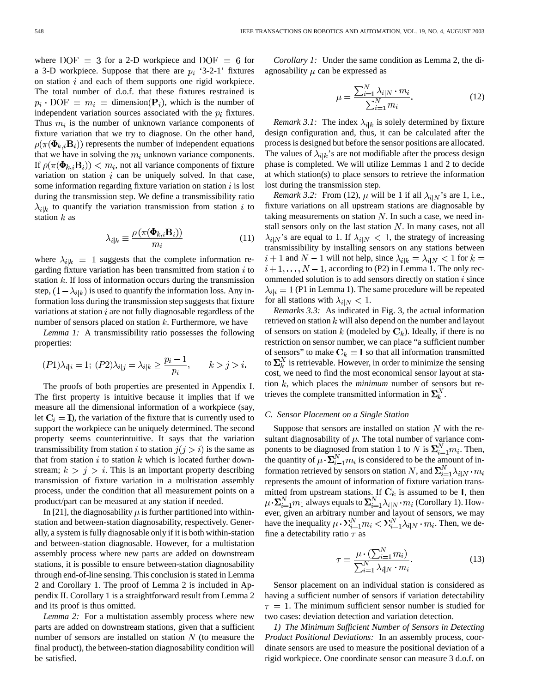where  $DOF = 3$  for a 2-D workpiece and  $DOF = 6$  for a 3-D workpiece. Suppose that there are  $p_i$  '3-2-1' fixtures on station  $i$  and each of them supports one rigid workpiece. The total number of d.o.f. that these fixtures restrained is  $p_i \cdot \text{DOF} = m_i = \text{dimension}(\mathbf{P}_i)$ , which is the number of independent variation sources associated with the  $p_i$  fixtures. Thus  $m_i$  is the number of unknown variance components of fixture variation that we try to diagnose. On the other hand,  $\rho(\pi(\Phi_{k,i}B_i))$  represents the number of independent equations that we have in solving the  $m_i$  unknown variance components. If  $\rho(\pi(\boldsymbol{\Phi}_{k,i}\mathbf{B}_i)) < m_i$ , not all variance components of fixture variation on station  $i$  can be uniquely solved. In that case, some information regarding fixture variation on station  $i$  is lost during the transmission step. We define a transmissibility ratio  $\lambda_{i|k}$  to quantify the variation transmission from station i to station  $k$  as

$$
\lambda_{i|k} \equiv \frac{\rho\left(\pi(\boldsymbol{\Phi}_{k,i}\mathbf{B}_{i})\right)}{m_{i}} \tag{11}
$$

where  $\lambda_{i|k} = 1$  suggests that the complete information regarding fixture variation has been transmitted from station  $i$  to station  $k$ . If loss of information occurs during the transmission step,  $(1 - \lambda_{i|k})$  is used to quantify the information loss. Any information loss during the transmission step suggests that fixture variations at station  $i$  are not fully diagnosable regardless of the number of sensors placed on station  $k$ . Furthermore, we have

*Lemma 1:* A transmissibility ratio possesses the following properties:

$$
(P1)\lambda_{i|i} = 1; (P2)\lambda_{i|j} = \lambda_{i|k} \ge \frac{p_i - 1}{p_i}, \qquad k > j > i.
$$

The proofs of both properties are presented in Appendix I. The first property is intuitive because it implies that if we measure all the dimensional information of a workpiece (say, let  $C_i = I$ ), the variation of the fixture that is currently used to support the workpiece can be uniquely determined. The second property seems counterintuitive. It says that the variation transmissibility from station i to station  $j(j > i)$  is the same as that from station  $i$  to station  $k$  which is located further downstream;  $k > j > i$ . This is an important property describing transmission of fixture variation in a multistation assembly process, under the condition that all measurement points on a product/part can be measured at any station if needed.

In [21], the diagnosability  $\mu$  is further partitioned into withinstation and between-station diagnosability, respectively. Generally, a system is fully diagnosable only if it is both within-station and between-station diagnosable. However, for a multistation assembly process where new parts are added on downstream stations, it is possible to ensure between-station diagnosability through end-of-line sensing. This conclusion is stated in Lemma 2 and Corollary 1. The proof of Lemma 2 is included in Appendix II. Corollary 1 is a straightforward result from Lemma 2 and its proof is thus omitted.

*Lemma 2:* For a multistation assembly process where new parts are added on downstream stations, given that a sufficient number of sensors are installed on station  $N$  (to measure the final product), the between-station diagnosability condition will be satisfied.

*Corollary 1:* Under the same condition as Lemma 2, the diagnosability  $\mu$  can be expressed as

$$
\mu = \frac{\sum_{i=1}^{N} \lambda_{i|N} \cdot m_i}{\sum_{i=1}^{N} m_i}.
$$
\n(12)

*Remark 3.1:* The index  $\lambda_{i|k}$  is solely determined by fixture design configuration and, thus, it can be calculated after the process is designed but before the sensor positions are allocated. The values of  $\lambda_{i|k}$ 's are not modifiable after the process design phase is completed. We will utilize Lemmas 1 and 2 to decide at which station(s) to place sensors to retrieve the information lost during the transmission step.

*Remark 3.2:* From (12),  $\mu$  will be 1 if all  $\lambda_{i|N}$ 's are 1, i.e., fixture variations on all upstream stations are diagnosable by taking measurements on station  $N$ . In such a case, we need install sensors only on the last station  $N$ . In many cases, not all  $\lambda_{i|N}$ 's are equal to 1. If  $\lambda_{i|N} < 1$ , the strategy of increasing transmissibility by installing sensors on any stations between  $i+1$  and  $N-1$  will not help, since  $\lambda_{i|k} = \lambda_{i|N} < 1$  for  $k =$  $i+1,\ldots, N-1$ , according to (P2) in Lemma 1. The only recommended solution is to add sensors directly on station  $i$  since  $\lambda_{i,j} = 1$  (P1 in Lemma 1). The same procedure will be repeated for all stations with  $\lambda_i|_N < 1$ .

*Remarks 3.3:* As indicated in Fig. 3, the actual information retrieved on station  $k$  will also depend on the number and layout of sensors on station k (modeled by  $C_k$ ). Ideally, if there is no restriction on sensor number, we can place "a sufficient number of sensors" to make  $C_k = I$  so that all information transmitted to  $\Sigma_k^X$  is retrievable. However, in order to minimize the sensing cost, we need to find the most economical sensor layout at station  $k$ , which places the *minimum* number of sensors but retrieves the complete transmitted information in  $\Sigma_k^X$ .

## *C. Sensor Placement on a Single Station*

Suppose that sensors are installed on station  $N$  with the resultant diagnosability of  $\mu$ . The total number of variance components to be diagnosed from station 1 to N is  $\sum_{i=1}^{N} m_i$ . Then, the quantity of  $\mu \cdot \Sigma_{i=1}^N m_i$  is considered to be the amount of information retrieved by sensors on station N, and  $\sum_{i=1}^{N} \lambda_{i|N} \cdot m_i$ represents the amount of information of fixture variation transmitted from upstream stations. If  $C_k$  is assumed to be **I**, then  $\mu \cdot \Sigma_{i=1}^N m_1$  always equals to  $\Sigma_{i=1}^N \lambda_{i|N} \cdot m_i$  (Corollary 1). However, given an arbitrary number and layout of sensors, we may have the inequality  $\mu \cdot \sum_{i=1}^{N} m_i < \sum_{i=1}^{N} \lambda_{i} N \cdot m_i$ . Then, we define a detectability ratio  $\tau$  as

$$
\tau = \frac{\mu \cdot (\sum_{i=1}^{N} m_i)}{\sum_{i=1}^{N} \lambda_{i|N} \cdot m_i}.
$$
\n(13)

Sensor placement on an individual station is considered as having a sufficient number of sensors if variation detectability  $\tau = 1$ . The minimum sufficient sensor number is studied for two cases: deviation detection and variation detection.

*1) The Minimum Sufficient Number of Sensors in Detecting Product Positional Deviations:* In an assembly process, coordinate sensors are used to measure the positional deviation of a rigid workpiece. One coordinate sensor can measure 3 d.o.f. on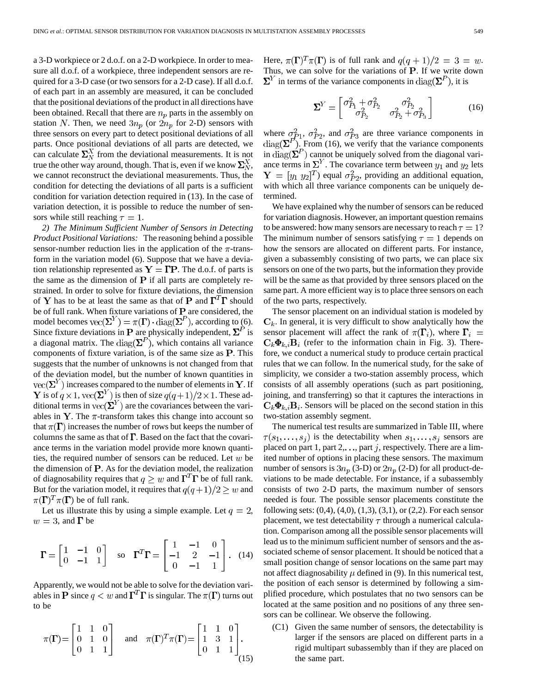a 3-D workpiece or 2 d.o.f. on a 2-D workpiece. In order to measure all d.o.f. of a workpiece, three independent sensors are required for a 3-D case (or two sensors for a 2-D case). If all d.o.f. of each part in an assembly are measured, it can be concluded that the positional deviations of the product in all directions have been obtained. Recall that there are  $n_p$  parts in the assembly on station N. Then, we need  $3n_p$  (or  $2n_p$  for 2-D) sensors with three sensors on every part to detect positional deviations of all parts. Once positional deviations of all parts are detected, we can calculate  $\Sigma_N^X$  from the deviational measurements. It is not true the other way around, though. That is, even if we know  $\Sigma_N^X$ , we cannot reconstruct the deviational measurements. Thus, the condition for detecting the deviations of all parts is a sufficient condition for variation detection required in (13). In the case of variation detection, it is possible to reduce the number of sensors while still reaching  $\tau = 1$ .

*2) The Minimum Sufficient Number of Sensors in Detecting Product Positional Variations:* The reasoning behind a possible sensor-number reduction lies in the application of the  $\pi$ -transform in the variation model (6). Suppose that we have a deviation relationship represented as  $Y = \Gamma P$ . The d.o.f. of parts is the same as the dimension of  $P$  if all parts are completely restrained. In order to solve for fixture deviations, the dimension of Y has to be at least the same as that of P and  $\Gamma^T \Gamma$  should be of full rank. When fixture variations of  $P$  are considered, the model becomes  $\text{vec}(\Sigma^Y) = \pi(\Gamma) \cdot \text{diag}(\Sigma^P)$ , according to (6). Since fixture deviations in **P** are physically independent,  $\Sigma^P$  is a diagonal matrix. The  $diag(\Sigma^P)$ , which contains all variance components of fixture variation, is of the same size as  $P$ . This suggests that the number of unknowns is not changed from that of the deviation model, but the number of known quantities in  $\text{vec}(\boldsymbol{\Sigma}^Y)$  increases compared to the number of elements in **Y**. If Y is of  $q \times 1$ ,  $\text{vec}(\Sigma^Y)$  is then of size  $q(q+1)/2 \times 1$ . These additional terms in  $\text{vec}(\Sigma^Y)$  are the covariances between the variables in Y. The  $\pi$ -transform takes this change into account so that  $\pi(\Gamma)$  increases the number of rows but keeps the number of columns the same as that of  $\Gamma$ . Based on the fact that the covariance terms in the variation model provide more known quantities, the required number of sensors can be reduced. Let  $w$  be the dimension of  $P$ . As for the deviation model, the realization of diagnosability requires that  $q \geq w$  and  $\Gamma^T \Gamma$  be of full rank. But for the variation model, it requires that  $q(q+1)/2 \geq w$  and  $\pi(\Gamma)^T \pi(\Gamma)$  be of full rank.

Let us illustrate this by using a simple example. Let  $q = 2$ ,  $w = 3$ , and  $\Gamma$  be

$$
\mathbf{\Gamma} = \begin{bmatrix} 1 & -1 & 0 \\ 0 & -1 & 1 \end{bmatrix} \text{ so } \mathbf{\Gamma}^T \mathbf{\Gamma} = \begin{bmatrix} 1 & -1 & 0 \\ -1 & 2 & -1 \\ 0 & -1 & 1 \end{bmatrix}. \quad (14)
$$

Apparently, we would not be able to solve for the deviation variables in **P** since  $q < w$  and  $\mathbf{T}^T \mathbf{\Gamma}$  is singular. The  $\pi(\mathbf{\Gamma})$  turns out to be

$$
\pi(\mathbf{\Gamma}) = \begin{bmatrix} 1 & 1 & 0 \\ 0 & 1 & 0 \\ 0 & 1 & 1 \end{bmatrix} \quad \text{and} \quad \pi(\mathbf{\Gamma})^T \pi(\mathbf{\Gamma}) = \begin{bmatrix} 1 & 1 & 0 \\ 1 & 3 & 1 \\ 0 & 1 & 1 \end{bmatrix}.
$$
 (15)

Here,  $\pi(\Gamma)^T \pi(\Gamma)$  is of full rank and  $q(q + 1)/2 = 3 = w$ . Thus, we can solve for the variations of  $P$ . If we write down  $\Sigma^Y$  in terms of the variance components in  $\text{diag}(\Sigma^P)$ , it is

$$
\Sigma^{Y} = \begin{bmatrix} \sigma_{P_1}^2 + \sigma_{P_2}^2 & \sigma_{P_2}^2 \\ \sigma_{P_2}^2 & \sigma_{P_2}^2 + \sigma_{P_3}^2 \end{bmatrix}
$$
 (16)

where  $\sigma_{P1}^2$ ,  $\sigma_{P2}^2$ , and  $\sigma_{P3}^2$  are three variance components in  $\text{diag}(\Sigma^P)$ . From (16), we verify that the variance components in diag( $\Sigma^P$ ) cannot be uniquely solved from the diagonal variance terms in  $\Sigma^{Y}$ . The covariance term between  $y_1$  and  $y_2$  lets  $\mathbf{Y} = [y_1 \ y_2]^T$  equal  $\sigma_{P2}^2$ , providing an additional equation, with which all three variance components can be uniquely determined.

We have explained why the number of sensors can be reduced for variation diagnosis. However, an important question remains to be answered: how many sensors are necessary to reach  $\tau = 1$ ? The minimum number of sensors satisfying  $\tau = 1$  depends on how the sensors are allocated on different parts. For instance, given a subassembly consisting of two parts, we can place six sensors on one of the two parts, but the information they provide will be the same as that provided by three sensors placed on the same part. A more efficient way is to place three sensors on each of the two parts, respectively.

The sensor placement on an individual station is modeled by  $\mathbf{C}_k$ . In general, it is very difficult to show analytically how the sensor placement will affect the rank of  $\pi(\Gamma_i)$ , where  $\Gamma_i =$  $C_k \Phi_{k,i} B_i$  (refer to the information chain in Fig. 3). Therefore, we conduct a numerical study to produce certain practical rules that we can follow. In the numerical study, for the sake of simplicity, we consider a two-station assembly process, which consists of all assembly operations (such as part positioning, joining, and transferring) so that it captures the interactions in  $C_k \Phi_{k,i} B_i$ . Sensors will be placed on the second station in this two-station assembly segment.

The numerical test results are summarized in Table III, where  $\tau(s_1,\ldots,s_i)$  is the detectability when  $s_1,\ldots,s_i$  sensors are placed on part 1, part 2,  $\dots$ , part j, respectively. There are a limited number of options in placing these sensors. The maximum number of sensors is  $3n_p$  (3-D) or  $2n_p$  (2-D) for all product-deviations to be made detectable. For instance, if a subassembly consists of two 2-D parts, the maximum number of sensors needed is four. The possible sensor placements constitute the following sets: (0,4), (4,0), (1,3), (3,1), or (2,2). For each sensor placement, we test detectability  $\tau$  through a numerical calculation. Comparison among all the possible sensor placements will lead us to the minimum sufficient number of sensors and the associated scheme of sensor placement. It should be noticed that a small position change of sensor locations on the same part may not affect diagnosability  $\mu$  defined in (9). In this numerical test, the position of each sensor is determined by following a simplified procedure, which postulates that no two sensors can be located at the same position and no positions of any three sensors can be collinear. We observe the following.

(C1) Given the same number of sensors, the detectability is larger if the sensors are placed on different parts in a rigid multipart subassembly than if they are placed on the same part.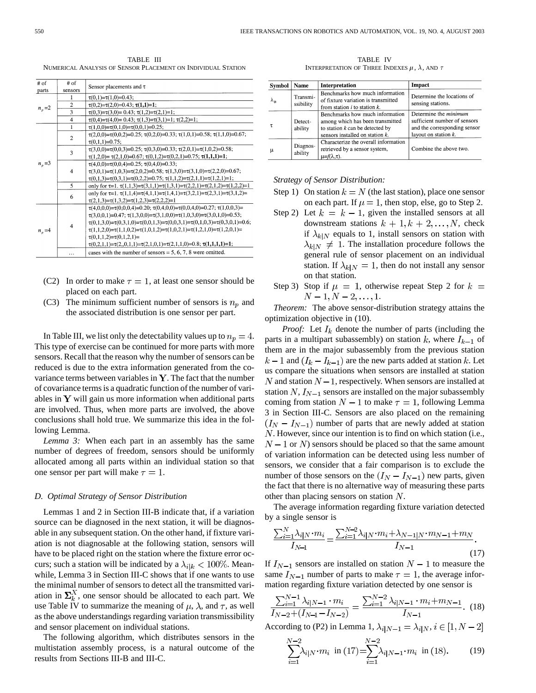TABLE III NUMERICAL ANALYSIS OF SENSOR PLACEMENT ON INDIVIDUAL STATION

| $#$ of      | $#$ of                  | Sensor placements and $\tau$                                                                           |  |  |  |
|-------------|-------------------------|--------------------------------------------------------------------------------------------------------|--|--|--|
| parts       | sensors                 |                                                                                                        |  |  |  |
| $n_{p} = 2$ | 1                       | $\tau(0,1)=\tau(1,0)=0.43$ ;                                                                           |  |  |  |
|             | $\overline{2}$          | $\tau(0,2)=\tau(2,0)=0.43; \tau(1,1)=1;$                                                               |  |  |  |
|             | 3                       | $\tau(0,3)=\tau(3,0)=0.43; \tau(1,2)=\tau(2,1)=1;$                                                     |  |  |  |
|             | $\overline{4}$          | $\tau(0,4)=\tau(4,0)=0.43; \tau(1,3)=\tau(3,1)=1; \tau(2,2)=1;$                                        |  |  |  |
|             | $\mathbf{1}$            | $\tau(1,0,0)=\tau(0,1,0)=\tau(0,0,1)=0.25;$                                                            |  |  |  |
|             | $\overline{2}$          | $\tau(2,0,0)=\tau(0,0,2)=0.25; \tau(0,2,0)=0.33; \tau(1,0,1)=0.58; \tau(1,1,0)=0.67;$                  |  |  |  |
|             |                         | $\tau(0,1,1)=0.75$ ;                                                                                   |  |  |  |
|             |                         | $\tau(3,0,0)=\tau(0,0,3)=0.25$ ; $\tau(0,3,0)=0.33$ ; $\tau(2,0,1)=\tau(1,0,2)=0.58$ ;                 |  |  |  |
|             | $\overline{\mathbf{3}}$ | $\tau(1,2,0) = \tau(2,1,0) = 0.67$ ; $\tau(0,1,2) = \tau(0,2,1) = 0.75$ ; $\tau(1,1,1) = 1$ ;          |  |  |  |
| $n_{n} = 3$ | $\overline{4}$          | $\tau(4,0,0)=\tau(0,0,4)=0.25$ ; $\tau(0,4,0)=0.33$ ;                                                  |  |  |  |
|             |                         | $\tau(3,0,1)=\tau(1,0,3)=\tau(2,0,2)=0.58; \tau(1,3,0)=\tau(3,1,0)=\tau(2,2,0)=0.67;$                  |  |  |  |
|             |                         | $\tau(0,1,3)=\tau(0,3,1)=\tau(0,2,2)=0.75; \tau(1,1,2)=\tau(2,1,1)=\tau(1,2,1)=1;$                     |  |  |  |
|             | 5                       | only for $\tau=1$ . $\tau(1,1,3)=\tau(3,1,1)=\tau(1,3,1)=\tau(2,2,1)=\tau(2,1,2)=\tau(1,2,2)=1$        |  |  |  |
|             | 6                       | only for $\tau=1$ . $\tau(1,1,4)=\tau(4,1,1)=\tau(1,4,1)=\tau(3,2,1)=\tau(2,3,1)=\tau(3,1,2)=$         |  |  |  |
|             |                         | $\tau(2,1,3)=\tau(1,3,2)=\tau(1,2,3)=\tau(2,2,2)=1$                                                    |  |  |  |
| $n_{p} = 4$ | 4                       | $\tau(4,0,0,0)=\tau(0,0,0,4)=0.20; \tau(0,4,0,0)=\tau(0,0,4,0)=0.27; \tau(1,0,0,3)=$                   |  |  |  |
|             |                         | $\tau(3.0.0.1)=0.47; \tau(1.3.0.0)=\tau(3.1.0.0)=\tau(1.0.3.0)=\tau(3.0.1.0)=0.53;$                    |  |  |  |
|             |                         | $\tau(0,1,3,0) = \tau(0,3,1,0) = \tau(0,0,1,3) = \tau(0,0,3,1) = \tau(0,1,0,3) = \tau(0,3,0,1) = 0.6;$ |  |  |  |
|             |                         | $\tau(1,1,2,0)=\tau(1,1,0,2)=\tau(1,0,1,2)=\tau(1,0,2,1)=\tau(1,2,1,0)=\tau(1,2,0,1)=$                 |  |  |  |
|             |                         | $\tau(0,1,1,2)=\tau(0,1,2,1)=$                                                                         |  |  |  |
|             |                         | $\tau(0,2,1,1)=\tau(2,0,1,1)=\tau(2,1,0,1)=\tau(2,1,1,0)=0.8; \tau(1,1,1,1)=1;$                        |  |  |  |
|             | .                       | cases with the number of sensors $= 5, 6, 7, 8$ were omitted.                                          |  |  |  |

- (C2) In order to make  $\tau = 1$ , at least one sensor should be placed on each part.
- (C3) The minimum sufficient number of sensors is  $n_p$  and the associated distribution is one sensor per part.

In Table III, we list only the detectability values up to  $n_p = 4$ . This type of exercise can be continued for more parts with more sensors. Recall that the reason why the number of sensors can be reduced is due to the extra information generated from the covariance terms between variables in  $Y$ . The fact that the number of covariance terms is a quadratic function of the number of variables in  $Y$  will gain us more information when additional parts are involved. Thus, when more parts are involved, the above conclusions shall hold true. We summarize this idea in the following Lemma.

*Lemma 3:* When each part in an assembly has the same number of degrees of freedom, sensors should be uniformly allocated among all parts within an individual station so that one sensor per part will make  $\tau = 1$ .

#### *D. Optimal Strategy of Sensor Distribution*

Lemmas 1 and 2 in Section III-B indicate that, if a variation source can be diagnosed in the next station, it will be diagnosable in any subsequent station. On the other hand, if fixture variation is not diagnosable at the following station, sensors will have to be placed right on the station where the fixture error occurs; such a station will be indicated by a  $\lambda_{i|k} < 100\%$ . Meanwhile, Lemma 3 in Section III-C shows that if one wants to use the minimal number of sensors to detect all the transmitted variation in  $\Sigma_k^X$ , one sensor should be allocated to each part. We use Table IV to summarize the meaning of  $\mu$ ,  $\lambda$ , and  $\tau$ , as well as the above understandings regarding variation transmissibility and sensor placement on individual stations.

The following algorithm, which distributes sensors in the multistation assembly process, is a natural outcome of the results from Sections III-B and III-C.

TABLE IV INTERPRETATION OF THREE INDEXES  $\mu$  ,  $\lambda$  , and  $\tau$ 

| Symbol         | Name                  | Interpretation                                                                                                                                 | Impact                                                                                                                  |  |
|----------------|-----------------------|------------------------------------------------------------------------------------------------------------------------------------------------|-------------------------------------------------------------------------------------------------------------------------|--|
| $\lambda_{ik}$ | Transmi-<br>ssibility | Benchmarks how much information<br>of fixture variation is transmitted<br>from station $i$ to station $k$ .                                    | Determine the locations of<br>sensing stations.                                                                         |  |
|                | Detect-<br>ability    | Benchmarks how much information<br>among which has been transmitted<br>to station $k$ can be detected by<br>sensors installed on station $k$ . | Determine the <i>minimum</i><br>sufficient number of sensors<br>and the corresponding sensor<br>layout on station $k$ . |  |
| μ              | Diagnos-<br>ability   | Characterize the overall information<br>retrieved by a sensor system,<br>$\mu = f(\lambda, \tau)$ .                                            | Combine the above two.                                                                                                  |  |

*Strategy of Sensor Distribution:*

- Step 1) On station  $k = N$  (the last station), place one sensor on each part. If  $\mu = 1$ , then stop, else, go to Step 2.
- Step 2) Let  $k = k 1$ , given the installed sensors at all downstream stations  $k + 1, k + 2, ..., N$ , check if  $\lambda_{k|N}$  equals to 1, install sensors on station with  $\lambda_{k|N} \neq 1$ . The installation procedure follows the general rule of sensor placement on an individual station. If  $\lambda_{k|N} = 1$ , then do not install any sensor on that station.
- Step 3) Stop if  $\mu = 1$ , otherwise repeat Step 2 for  $k =$  $N-1, N-2, \ldots, 1$ .

*Theorem:* The above sensor-distribution strategy attains the optimization objective in (10).

*Proof:* Let  $I_k$  denote the number of parts (including the parts in a multipart subassembly) on station k, where  $I_{k-1}$  of them are in the major subassembly from the previous station  $k-1$  and  $(I_k - I_{k-1})$  are the new parts added at station k. Let us compare the situations when sensors are installed at station N and station  $N-1$ , respectively. When sensors are installed at station  $N, I_{N-1}$  sensors are installed on the major subassembly coming from station  $N - 1$  to make  $\tau = 1$ , following Lemma 3 in Section III-C. Sensors are also placed on the remaining  $(I_N - I_{N-1})$  number of parts that are newly added at station . However, since our intention is to find on which station (i.e.,  $N-1$  or N) sensors should be placed so that the same amount of variation information can be detected using less number of sensors, we consider that a fair comparison is to exclude the number of those sensors on the  $(I_N - I_{N-1})$  new parts, given the fact that there is no alternative way of measuring these parts other than placing sensors on station  $N$ .

The average information regarding fixture variation detected by a single sensor is

$$
\frac{\sum_{i=1}^{N} \lambda_{i|N} \cdot m_i}{I_{N-1}} = \frac{\sum_{i=1}^{N-2} \lambda_{i|N} \cdot m_i + \lambda_{N-1|N} \cdot m_{N-1} + m_N}{I_{N-1}}.
$$
\n(17)

If  $I_{N-1}$  sensors are installed on station  $N-1$  to measure the same  $I_{N-1}$  number of parts to make  $\tau = 1$ , the average information regarding fixture variation detected by one sensor is

$$
\frac{\sum_{i=1}^{N-1} \lambda_{i|N-1} \cdot m_i}{I_{N-2} + (I_{N-1} - I_{N-2})} = \frac{\sum_{i=1}^{N-2} \lambda_{i|N-1} \cdot m_i + m_{N-1}}{I_{N-1}}.
$$
 (18)

According to (P2) in Lemma 1,  $\lambda_{i|N-1} = \lambda_{i|N}, i \in [1, N-2]$ 

$$
\sum_{i=1}^{N-2} \lambda_{i|N} \cdot m_i \text{ in (17)} = \sum_{i=1}^{N-2} \lambda_{i|N-1} \cdot m_i \text{ in (18)}. \tag{19}
$$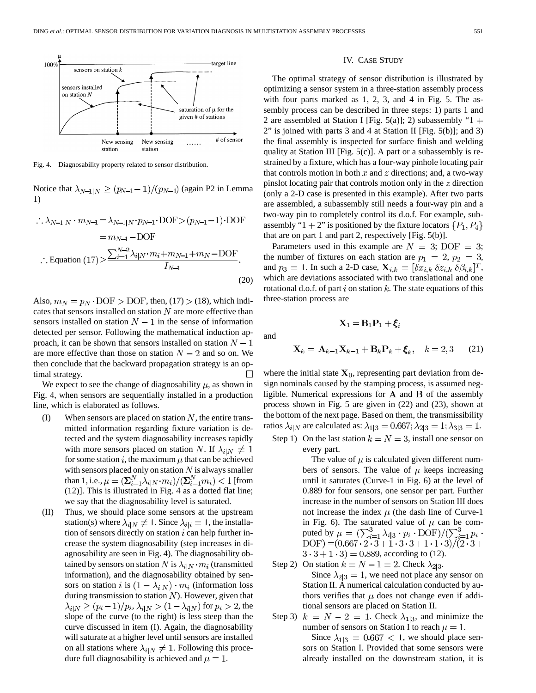

Fig. 4. Diagnosability property related to sensor distribution.

Notice that  $\lambda_{N-1|N} \ge (p_{N-1} - 1)/(p_{N-1})$  (again P2 in Lemma 1)

$$
\therefore \lambda_{N-1|N} \cdot m_{N-1} = \lambda_{N-1|N} \cdot p_{N-1} \cdot \text{DOF} > (p_{N-1} - 1) \cdot \text{DOF}
$$

$$
= m_{N-1} - \text{DOF}
$$

$$
\therefore \text{ Equation (17)} \ge \frac{\sum_{i=1}^{N-2} \lambda_{i|N} \cdot m_i + m_{N-1} + m_N - \text{DOF}}{I_{N-1}}.
$$
(20)

Also,  $m_N = p_N \cdot \text{DOF} > \text{DOF}$ , then, (17) > (18), which indicates that sensors installed on station  $N$  are more effective than sensors installed on station  $N-1$  in the sense of information detected per sensor. Following the mathematical induction approach, it can be shown that sensors installed on station  $N-1$ are more effective than those on station  $N-2$  and so on. We then conclude that the backward propagation strategy is an optimal strategy.  $\Box$ 

We expect to see the change of diagnosability  $\mu$ , as shown in Fig. 4, when sensors are sequentially installed in a production line, which is elaborated as follows.

- (I) When sensors are placed on station  $N$ , the entire transmitted information regarding fixture variation is detected and the system diagnosability increases rapidly with more sensors placed on station N. If  $\lambda_{i|N} \neq 1$ for some station i, the maximum  $\mu$  that can be achieved with sensors placed only on station  $N$  is always smaller than 1, i.e.,  $\mu = (\sum_{i=1}^N \lambda_i | N \cdot m_i) / (\sum_{i=1}^N m_i) < 1$  [from (12)]. This is illustrated in Fig. 4 as a dotted flat line; we say that the diagnosability level is saturated.
- (II) Thus, we should place some sensors at the upstream station(s) where  $\lambda_{i|N} \neq 1$ . Since  $\lambda_{i|i} = 1$ , the installation of sensors directly on station  $i$  can help further increase the system diagnosability (step increases in diagnosability are seen in Fig. 4). The diagnosability obtained by sensors on station N is  $\lambda_{i|N} \cdot m_i$  (transmitted information), and the diagnosability obtained by sensors on station i is  $(1 - \lambda_i | N) \cdot m_i$  (information loss during transmission to station  $N$ ). However, given that  $\lambda_{i|N} \ge (p_i-1)/p_i$ ,  $\lambda_{i|N} > (1-\lambda_{i|N})$  for  $p_i > 2$ , the slope of the curve (to the right) is less steep than the curve discussed in item (I). Again, the diagnosability will saturate at a higher level until sensors are installed on all stations where  $\lambda_{i|N} \neq 1$ . Following this procedure full diagnosability is achieved and  $\mu = 1$ .

#### IV. CASE STUDY

The optimal strategy of sensor distribution is illustrated by optimizing a sensor system in a three-station assembly process with four parts marked as 1, 2, 3, and 4 in Fig. 5. The assembly process can be described in three steps: 1) parts 1 and 2 are assembled at Station I [Fig. 5(a)]; 2) subassembly " $1 +$  $2$ " is joined with parts 3 and 4 at Station II [Fig. 5(b)]; and 3) the final assembly is inspected for surface finish and welding quality at Station III [Fig.  $5(c)$ ]. A part or a subassembly is restrained by a fixture, which has a four-way pinhole locating pair that controls motion in both  $x$  and  $z$  directions; and, a two-way pinslot locating pair that controls motion only in the  $z$  direction (only a 2-D case is presented in this example). After two parts are assembled, a subassembly still needs a four-way pin and a two-way pin to completely control its d.o.f. For example, subassembly "1 + 2" is positioned by the fixture locators  $\{P_1, P_4\}$ that are on part 1 and part 2, respectively [Fig. 5(b)].

Parameters used in this example are  $N = 3$ ; DOF = 3; the number of fixtures on each station are  $p_1 = 2$ ,  $p_2 = 3$ , and  $p_3 = 1$ . In such a 2-D case,  $\mathbf{X}_{i,k} = [\delta x_{i,k} \ \delta z_{i,k} \ \delta \beta_{i,k}]^T$ , which are deviations associated with two translational and one rotational d.o.f. of part i on station  $k$ . The state equations of this three-station process are

 $\mathbf{X}_1 = \mathbf{B}_1 \mathbf{P}_1 + \boldsymbol{\xi}_i$ 

and

$$
\mathbf{X}_k = \mathbf{A}_{k-1} \mathbf{X}_{k-1} + \mathbf{B}_k \mathbf{P}_k + \boldsymbol{\xi}_k, \quad k = 2, 3 \qquad (21)
$$

where the initial state  $X_0$ , representing part deviation from design nominals caused by the stamping process, is assumed negligible. Numerical expressions for  $A$  and  $B$  of the assembly process shown in Fig. 5 are given in (22) and (23), shown at the bottom of the next page. Based on them, the transmissibility ratios  $\lambda_{i|N}$  are calculated as:  $\lambda_{1|3} = 0.667$ ;  $\lambda_{2|3} = 1$ ;  $\lambda_{3|3} = 1$ .

Step 1) On the last station  $k = N = 3$ , install one sensor on every part.

The value of  $\mu$  is calculated given different numbers of sensors. The value of  $\mu$  keeps increasing until it saturates (Curve-1 in Fig. 6) at the level of 0.889 for four sensors, one sensor per part. Further increase in the number of sensors on Station III does not increase the index  $\mu$  (the dash line of Curve-1) in Fig. 6). The saturated value of  $\mu$  can be computed by  $\mu = (\sum_{i=1}^3 \lambda_{i|3} \cdot p_i \cdot \text{DOF})/(\sum_{i=1}^3 p_i \cdot$ DOF) =  $(0.667 \cdot 2 \cdot 3 + 1 \cdot 3 \cdot 3 + 1 \cdot 1 \cdot 3) / (2 \cdot 3 +$  $(3 \cdot 3 + 1 \cdot 3) = 0.889$ , according to (12).

Step 2) On station  $k = N - 1 = 2$ . Check  $\lambda_{2|3}$ . Since  $\lambda_{2|3} = 1$ , we need not place any sensor on Station II. A numerical calculation conducted by authors verifies that  $\mu$  does not change even if additional sensors are placed on Station II.

Step 3)  $k = N - 2 = 1$ . Check  $\lambda_{1,3}$ , and minimize the number of sensors on Station I to reach  $\mu = 1$ .

> Since  $\lambda_{1|3} = 0.667 < 1$ , we should place sensors on Station I. Provided that some sensors were already installed on the downstream station, it is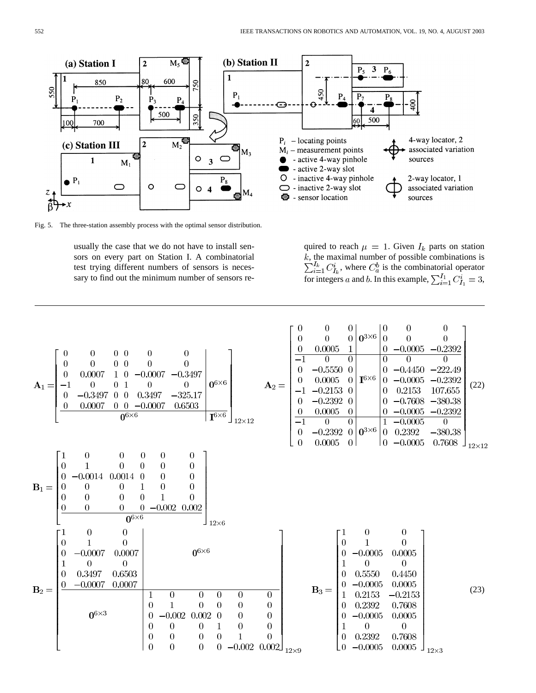

Fig. 5. The three-station assembly process with the optimal sensor distribution.

usually the case that we do not have to install sensors on every part on Station I. A combinatorial test trying different numbers of sensors is necessary to find out the minimum number of sensors required to reach  $\mu = 1$ . Given  $I_k$  parts on station , the maximal number of possible combinations is , where  $C_a^b$  is the combinatorial operator for integers a and b. In this example,  $\sum_{i=1}^{I_1} C_{I_1}^i = 3$ ,

 $\overline{16}$ 

(22) (23)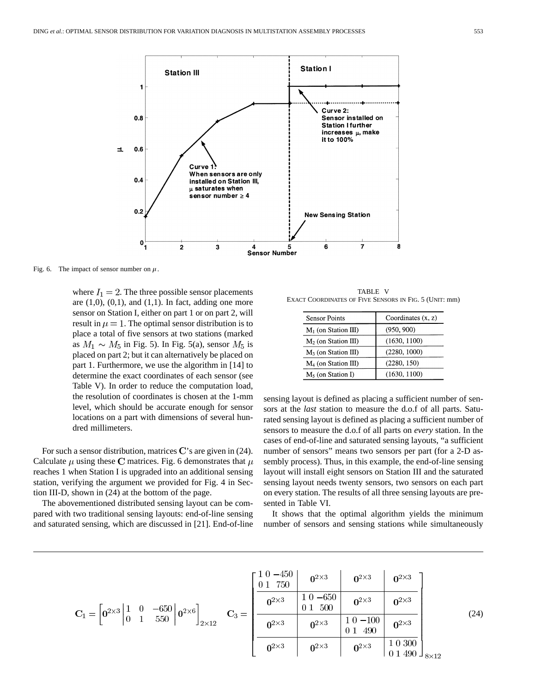

Fig. 6. The impact of sensor number on  $\mu$ .

where  $I_1 = 2$ . The three possible sensor placements are  $(1,0)$ ,  $(0,1)$ , and  $(1,1)$ . In fact, adding one more sensor on Station I, either on part 1 or on part 2, will result in  $\mu = 1$ . The optimal sensor distribution is to place a total of five sensors at two stations (marked as  $M_1 \sim M_5$  in Fig. 5). In Fig. 5(a), sensor  $M_5$  is placed on part 2; but it can alternatively be placed on part 1. Furthermore, we use the algorithm in [14] to determine the exact coordinates of each sensor (see Table V). In order to reduce the computation load, the resolution of coordinates is chosen at the 1-mm level, which should be accurate enough for sensor locations on a part with dimensions of several hundred millimeters.

For such a sensor distribution, matrices  $\mathbf{C}'$ 's are given in (24). Calculate  $\mu$  using these C matrices. Fig. 6 demonstrates that  $\mu$ reaches 1 when Station I is upgraded into an additional sensing station, verifying the argument we provided for Fig. 4 in Section III-D, shown in (24) at the bottom of the page.

The abovementioned distributed sensing layout can be compared with two traditional sensing layouts: end-of-line sensing and saturated sensing, which are discussed in [21]. End-of-line

TABLE V EXACT COORDINATES OF FIVE SENSORS IN FIG. 5 (UNIT: mm)

| <b>Sensor Points</b>   | Coordinates $(x, z)$ |
|------------------------|----------------------|
| $M_1$ (on Station III) | (950, 900)           |
| $M_2$ (on Station III) | (1630, 1100)         |
| $M_3$ (on Station III) | (2280, 1000)         |
| $M_4$ (on Station III) | (2280, 150)          |
| $M_5$ (on Station I)   | (1630, 1100)         |

sensing layout is defined as placing a sufficient number of sensors at the *last* station to measure the d.o.f of all parts. Saturated sensing layout is defined as placing a sufficient number of sensors to measure the d.o.f of all parts on *every* station. In the cases of end-of-line and saturated sensing layouts, "a sufficient number of sensors" means two sensors per part (for a 2-D assembly process). Thus, in this example, the end-of-line sensing layout will install eight sensors on Station III and the saturated sensing layout needs twenty sensors, two sensors on each part on every station. The results of all three sensing layouts are presented in Table VI.

It shows that the optimal algorithm yields the minimum number of sensors and sensing stations while simultaneously

$$
\mathbf{C}_{1} = \left[ 0^{2\times3} \left| \begin{array}{ccc} 1 & 0 & -650 \\ 0 & 1 & 550 \end{array} \right| 0^{2\times6} \right]_{2\times12} \quad \mathbf{C}_{3} = \left[ \begin{array}{c|c|c} 1 & 0 & -450 & 0^{2\times3} & 0^{2\times3} \\ \hline 0 & 1 & 500 & 0^{2\times3} & 0^{2\times3} \\ \hline 0 & 0 & 1 & 500 & 0^{2\times3} \\ \hline 0 & 0 & 0 & 0 & 0^{2\times3} \\ \hline 0 & 0 & 0 & 0 & 0^{2\times3} \\ \hline 0 & 0 & 0 & 0 & 0^{2\times3} \\ \hline 0 & 0 & 0 & 0 & 0 & 0 \end{array} \right]_{8\times12} \tag{24}
$$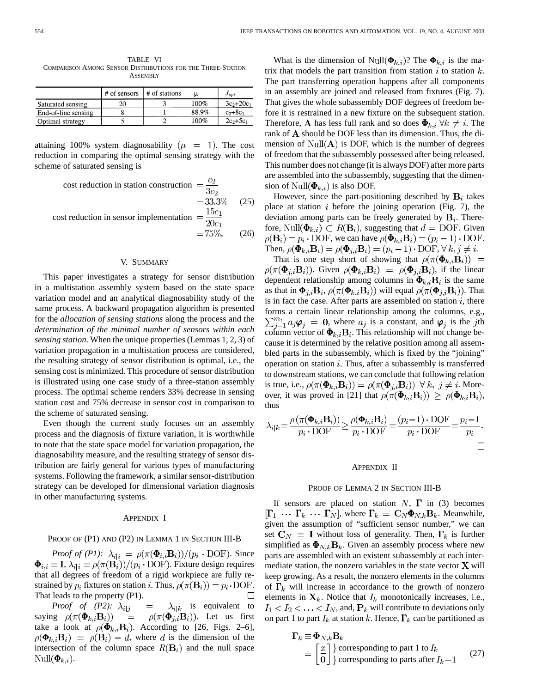|                     | $#$ of sensors | # of stations |       | $J_{opt}$        |
|---------------------|----------------|---------------|-------|------------------|
| Saturated sensing   | 20             |               | 100%  | $3c_2 + 20c_1$   |
| End-of-line sensing |                |               | 88.9% | $c_{2} + 8c_{1}$ |
| Optimal strategy    |                |               | 100%  | $2c_2 + 5c_1$    |

TABLE VI COMPARISON AMONG SENSOR DISTRIBUTIONS FOR THE THREE-STATION **ASSEMBLY** 

attaining 100% system diagnosability  $(\mu = 1)$ . The cost reduction in comparing the optimal sensing strategy with the scheme of saturated sensing is

cost reduction in station construction  $=$   $\frac{c_2}{3c_2}$  $=33.3\%$ (25) cost reduction in sensor implementation  $=$   $\frac{15c_1}{20c_1}$ (26)

### V. SUMMARY

This paper investigates a strategy for sensor distribution in a multistation assembly system based on the state space variation model and an analytical diagnosability study of the same process. A backward propagation algorithm is presented for the *allocation of sensing stations* along the process and the *determination of the minimal number of sensors within each sensing station*. When the unique properties (Lemmas 1, 2, 3) of variation propagation in a multistation process are considered, the resulting strategy of sensor distribution is optimal, i.e., the sensing cost is minimized. This procedure of sensor distribution is illustrated using one case study of a three-station assembly process. The optimal scheme renders 33% decrease in sensing station cost and 75% decrease in sensor cost in comparison to the scheme of saturated sensing.

Even though the current study focuses on an assembly process and the diagnosis of fixture variation, it is worthwhile to note that the state space model for variation propagation, the diagnosability measure, and the resulting strategy of sensor distribution are fairly general for various types of manufacturing systems. Following the framework, a similar sensor-distribution strategy can be developed for dimensional variation diagnosis in other manufacturing systems.

#### APPENDIX I

# PROOF OF (P1) AND (P2) IN LEMMA 1 IN SECTION III-B

*Proof of (P1):*  $\lambda_{i|i} = \rho(\pi(\Phi_{i,i}B_i))/(p_i \cdot DOF)$ . Since  $\mathbf{\Phi}_{i,i} = \mathbf{I}, \lambda_{i|i} = \rho(\pi(\mathbf{B}_i))/(p_i \cdot \text{DOF})$ . Fixture design requires that all degrees of freedom of a rigid workpiece are fully restrained by  $p_i$  fixtures on station i. Thus,  $\rho(\pi(\mathbf{B}_i)) = p_i \cdot \text{DOF}$ . That leads to the property (P1).  $\Box$ 

*Proof of (P2):*  $\lambda_{i|j}$  =  $\lambda_{i|k}$  is equivalent to saying  $\rho(\pi(\mathbf{\Phi}_{k,i}\mathbf{B}_i))$  =  $\rho(\pi(\mathbf{\Phi}_{j,i}\mathbf{B}_i))$ . Let us first take a look at  $\rho(\mathbf{\Phi}_{k,i} \mathbf{B}_i)$ . According to [26, Figs. 2–6],  $\rho(\mathbf{\Phi}_{k,i} \mathbf{B}_i) = \rho(\mathbf{B}_i) - d$ , where d is the dimension of the intersection of the column space  $R(\mathbf{B}_i)$  and the null space Null $(\boldsymbol{\Phi}_{k,i}).$ 

What is the dimension of  $\text{Null}(\Phi_{k,i})$ ? The  $\Phi_{k,i}$  is the matrix that models the part transition from station  $i$  to station  $k$ . The part transferring operation happens after all components in an assembly are joined and released from fixtures (Fig. 7). That gives the whole subassembly DOF degrees of freedom before it is restrained in a new fixture on the subsequent station. Therefore, A has less full rank and so does  $\Phi_{k,i}$   $\forall k \neq i$ . The rank of  $A$  should be DOF less than its dimension. Thus, the dimension of  $Null(A)$  is DOF, which is the number of degrees of freedom that the subassembly possessed after being released. This number does not change (it is always DOF) after more parts are assembled into the subassembly, suggesting that the dimension of Null $(\Phi_{k,i})$  is also DOF.

However, since the part-positioning described by  $B_i$  takes place at station  $i$  before the joining operation (Fig. 7), the deviation among parts can be freely generated by  $B_i$ . Therefore, Null $(\Phi_{k,i}) \subset R(\mathbf{B}_i)$ , suggesting that  $d = \text{DOF}$ . Given  $\rho(\mathbf{B}_i) = p_i \cdot \text{DOF}$ , we can have  $\rho(\mathbf{\Phi}_{k,i} \mathbf{B}_i) = (p_i - 1) \cdot \text{DOF}$ . Then,  $\rho(\mathbf{\Phi}_{k,i} \mathbf{B}_i) = \rho(\mathbf{\Phi}_{j,i} \mathbf{B}_i) = (p_i - 1) \cdot \text{DOF}, \forall k, j \neq i.$ 

That is one step short of showing that  $\rho(\pi(\Phi_{k,i} \mathbf{B}_i))$  =  $\rho(\pi(\boldsymbol{\Phi}_{i,i}\mathbf{B}_i))$ . Given  $\rho(\boldsymbol{\Phi}_{k,i}\mathbf{B}_i) = \rho(\boldsymbol{\Phi}_{i,i}\mathbf{B}_i)$ , if the linear dependent relationship among columns in  $\mathbf{\Phi}_{k,i} \mathbf{B}_i$  is the same as that in  $\mathbf{\Phi}_{i,i} \mathbf{B}_i$ ,  $\rho(\pi(\mathbf{\Phi}_{k,i} \mathbf{B}_i))$  will equal  $\rho(\pi(\mathbf{\Phi}_{i,i} \mathbf{B}_i))$ . That is in fact the case. After parts are assembled on station  $i$ , there forms a certain linear relationship among the columns, e.g.,  $\sum_{j=1}^{m_i} a_j \varphi_j = 0$ , where  $a_j$  is a constant, and  $\varphi_j$  is the jth column vector of  $\mathbf{\Phi}_{k,i} \mathbf{B}_i$ . This relationship will not change because it is determined by the relative position among all assembled parts in the subassembly, which is fixed by the "joining" operation on station  $i$ . Thus, after a subassembly is transferred to downstream stations, we can conclude that following relation is true, i.e.,  $\rho(\pi(\Phi_{k,i}B_i)) = \rho(\pi(\Phi_{j,i}B_i)) \ \forall k, j \neq i$ . Moreover, it was proved in [21] that  $\rho(\pi(\boldsymbol{\Phi}_{k,i} \mathbf{B}_i)) \geq \rho(\boldsymbol{\Phi}_{k,i} \mathbf{B}_i)$ , thus

$$
\lambda_{i|k} = \frac{\rho(\pi(\Phi_{k,i}\mathbf{B}_i))}{p_i \cdot \text{DOF}} \ge \frac{\rho(\Phi_{k,i}\mathbf{B}_i)}{p_i \cdot \text{DOF}} = \frac{(p_i - 1) \cdot \text{DOF}}{p_i \cdot \text{DOF}} = \frac{p_i - 1}{p_i}.
$$

# APPENDIX II

## PROOF OF LEMMA 2 IN SECTION III-B

If sensors are placed on station N,  $\Gamma$  in (3) becomes  $[\Gamma_1 \cdots \Gamma_k \cdots \Gamma_N]$ , where  $\Gamma_k = \mathbf{C}_N \mathbf{\Phi}_{N,k} \mathbf{B}_k$ . Meanwhile, given the assumption of "sufficient sensor number," we can set  $C_N = I$  without loss of generality. Then,  $\Gamma_k$  is further simplified as  $\mathbf{\Phi}_{N,k} \mathbf{B}_k$ . Given an assembly process where new parts are assembled with an existent subassembly at each intermediate station, the nonzero variables in the state vector  $X$  will keep growing. As a result, the nonzero elements in the columns of  $\Gamma_k$  will increase in accordance to the growth of nonzero elements in  $X_k$ . Notice that  $I_k$  monotonically increases, i.e.,  $I_1 < I_2 < \ldots < I_N$ , and,  $P_k$  will contribute to deviations only on part 1 to part  $I_k$  at station k. Hence,  $\Gamma_k$  can be partitioned as

$$
\mathbf{\Gamma}_k \equiv \mathbf{\Phi}_{N,k} \mathbf{B}_k
$$
  
=  $\begin{bmatrix} x \\ \mathbf{0} \end{bmatrix}$  corresponding to part 1 to  $I_k$   

$$
= \begin{bmatrix} x \\ \mathbf{0} \end{bmatrix}
$$
 corresponding to parts after  $I_k + 1$  (27)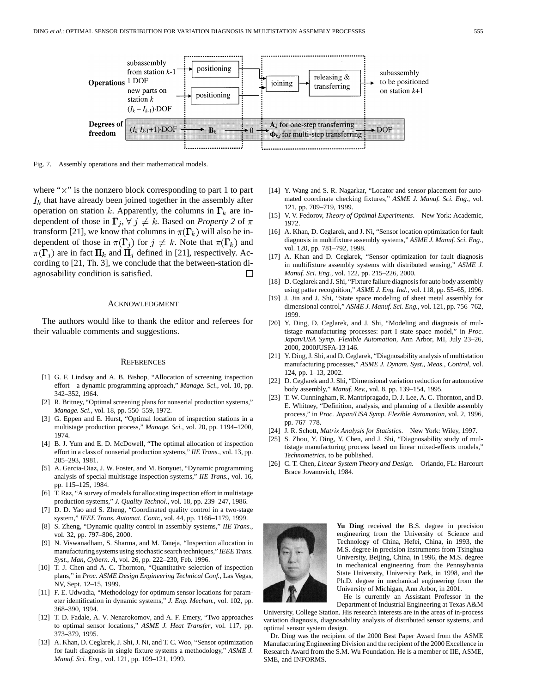

Fig. 7. Assembly operations and their mathematical models.

where " $\times$ " is the nonzero block corresponding to part 1 to part  $I_k$  that have already been joined together in the assembly after operation on station k. Apparently, the columns in  $\Gamma_k$  are independent of those in  $\Gamma_j$ ,  $\forall j \neq k$ . Based on *Property* 2 of  $\pi$ transform [21], we know that columns in  $\pi(\Gamma_k)$  will also be independent of those in  $\pi(\Gamma_j)$  for  $j \neq k$ . Note that  $\pi(\Gamma_k)$  and  $\pi(\Gamma_i)$  are in fact  $\Pi_k$  and  $\Pi_j$  defined in [21], respectively. According to [21, Th. 3], we conclude that the between-station diagnosability condition is satisfied. П

#### ACKNOWLEDGMENT

The authors would like to thank the editor and referees for their valuable comments and suggestions.

#### **REFERENCES**

- [1] G. F. Lindsay and A. B. Bishop, "Allocation of screening inspection effort—a dynamic programming approach," *Manage. Sci.*, vol. 10, pp. 342–352, 1964.
- [2] R. Britney, "Optimal screening plans for nonserial production systems," *Manage. Sci.*, vol. 18, pp. 550–559, 1972.
- [3] G. Eppen and E. Hurst, "Optimal location of inspection stations in a multistage production process," *Manage. Sci.*, vol. 20, pp. 1194–1200, 1974.
- [4] B. J. Yum and E. D. McDowell, "The optimal allocation of inspection effort in a class of nonserial production systems," *IIE Trans.*, vol. 13, pp. 285–293, 1981.
- [5] A. Garcia-Diaz, J. W. Foster, and M. Bonyuet, "Dynamic programming analysis of special multistage inspection systems," *IIE Trans.*, vol. 16, pp. 115–125, 1984.
- [6] T. Raz, "A survey of models for allocating inspection effort in multistage production systems," *J. Quality Technol.*, vol. 18, pp. 239–247, 1986.
- [7] D. D. Yao and S. Zheng, "Coordinated quality control in a two-stage system," *IEEE Trans. Automat. Contr.*, vol. 44, pp. 1166–1179, 1999.
- [8] S. Zheng, "Dynamic quality control in assembly systems," *IIE Trans.*, vol. 32, pp. 797–806, 2000.
- [9] N. Viswanadham, S. Sharma, and M. Taneja, "Inspection allocation in manufacturing systems using stochastic search techniques," *IEEE Trans. Syst., Man, Cybern. A*, vol. 26, pp. 222–230, Feb. 1996.
- [10] T. J. Chen and A. C. Thornton, "Quantitative selection of inspection plans," in *Proc. ASME Design Engineering Technical Conf.*, Las Vegas, NV, Sept. 12–15, 1999.
- [11] F. E. Udwadia, "Methodology for optimum sensor locations for parameter identification in dynamic systems," *J. Eng. Mechan.*, vol. 102, pp. 368–390, 1994.
- [12] T. D. Fadale, A. V. Nenarokomov, and A. F. Emery, "Two approaches to optimal sensor locations," *ASME J. Heat Transfer*, vol. 117, pp. 373–379, 1995.
- [13] A. Khan, D. Ceglarek, J. Shi, J. Ni, and T. C. Woo, "Sensor optimization for fault diagnosis in single fixture systems a methodology," *ASME J. Manuf. Sci. Eng.*, vol. 121, pp. 109–121, 1999.
- [14] Y. Wang and S. R. Nagarkar, "Locator and sensor placement for automated coordinate checking fixtures," *ASME J. Manuf. Sci. Eng.*, vol. 121, pp. 709–719, 1999.
- [15] V. V. Fedorov, *Theory of Optimal Experiments*. New York: Academic, 1972.
- [16] A. Khan, D. Ceglarek, and J. Ni, "Sensor location optimization for fault diagnosis in multifixture assembly systems," *ASME J. Manuf. Sci. Eng.*, vol. 120, pp. 781–792, 1998.
- [17] A. Khan and D. Ceglarek, "Sensor optimization for fault diagnosis in multifixture assembly systems with distributed sensing," *ASME J. Manuf. Sci. Eng.*, vol. 122, pp. 215–226, 2000.
- [18] D. Ceglarek and J. Shi, "Fixture failure diagnosis for auto body assembly using patter recognition," *ASME J. Eng. Ind.*, vol. 118, pp. 55–65, 1996.
- [19] J. Jin and J. Shi, "State space modeling of sheet metal assembly for dimensional control," *ASME J. Manuf. Sci. Eng.*, vol. 121, pp. 756–762, 1999.
- [20] Y. Ding, D. Ceglarek, and J. Shi, "Modeling and diagnosis of multistage manufacturing processes: part I state space model," in *Proc. Japan/USA Symp. Flexible Automation*, Ann Arbor, MI, July 23–26, 2000, 2000JUSFA-13 146.
- [21] Y. Ding, J. Shi, and D. Ceglarek, "Diagnosability analysis of multistation manufacturing processes," *ASME J. Dynam. Syst., Meas., Control*, vol. 124, pp. 1–13, 2002.
- [22] D. Ceglarek and J. Shi, "Dimensional variation reduction for automotive body assembly," *Manuf. Rev.*, vol. 8, pp. 139–154, 1995.
- [23] T. W. Cunningham, R. Mantripragada, D. J. Lee, A. C. Thornton, and D. E. Whitney, "Definition, analysis, and planning of a flexible assembly process," in *Proc. Japan/USA Symp. Flexible Automation*, vol. 2, 1996, pp. 767–778.
- [24] J. R. Schott, *Matrix Analysis for Statistics*. New York: Wiley, 1997.
- [25] S. Zhou, Y. Ding, Y. Chen, and J. Shi, "Diagnosability study of multistage manufacturing process based on linear mixed-effects models," *Technometrics*, to be published.
- [26] C. T. Chen, *Linear System Theory and Design*. Orlando, FL: Harcourt Brace Jovanovich, 1984.



**Yu Ding** received the B.S. degree in precision engineering from the University of Science and Technology of China, Hefei, China, in 1993, the M.S. degree in precision instruments from Tsinghua University, Beijing, China, in 1996, the M.S. degree in mechanical engineering from the Pennsylvania State University, University Park, in 1998, and the Ph.D. degree in mechanical engineering from the University of Michigan, Ann Arbor, in 2001.

He is currently an Assistant Professor in the Department of Industrial Engineering at Texas A&M

University, College Station. His research interests are in the areas of in-process variation diagnosis, diagnosability analysis of distributed sensor systems, and optimal sensor system design.

Dr. Ding was the recipient of the 2000 Best Paper Award from the ASME Manufacturing Engineering Division and the recipient of the 2000 Excellence in Research Award from the S.M. Wu Foundation. He is a member of IIE, ASME, SME, and INFORMS.